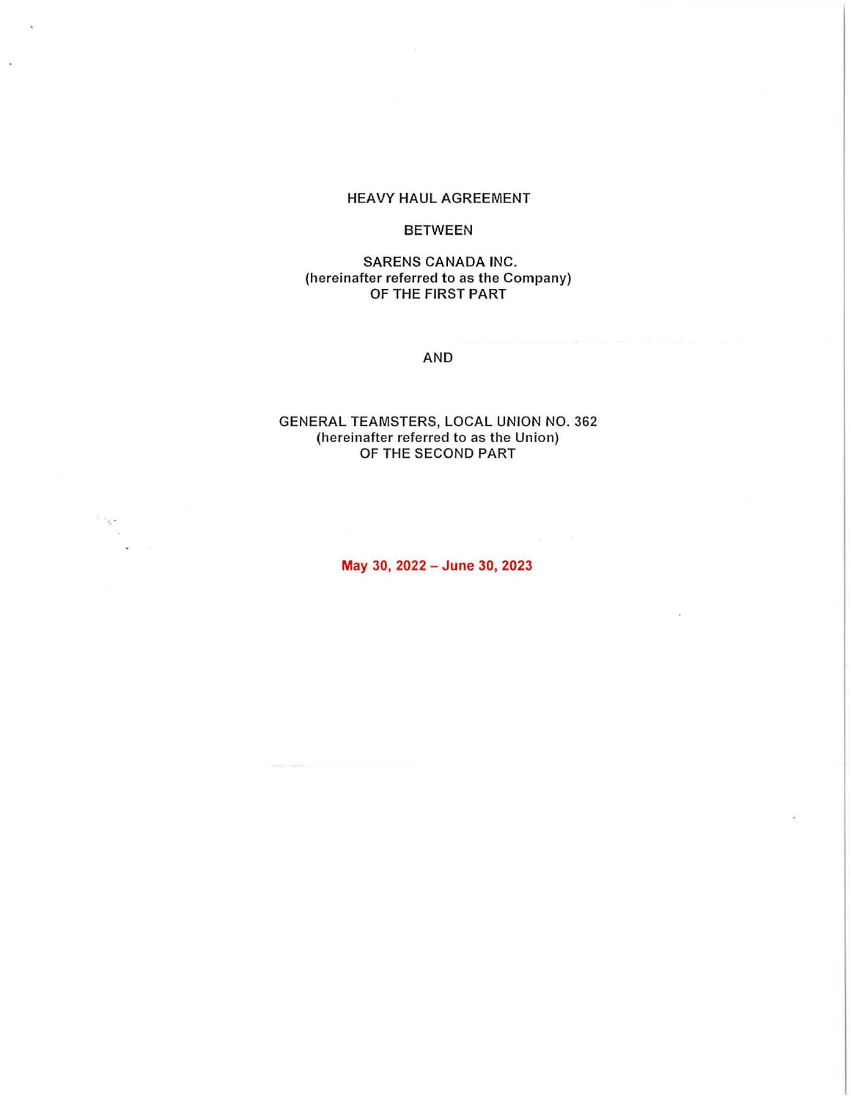#### HEAVY HAUL AGREEMENT

## BETWEEN

#### SARENS CANADA INC. (hereinafter referred to as the Company) OF THE FIRST PART

#### AND

#### GENERAL TEAMSTERS, LOCAL UNION NO. 362 (hereinafter referred to as the Union) OF THE SECOND PART

May 30, 2022 - June 30, 2023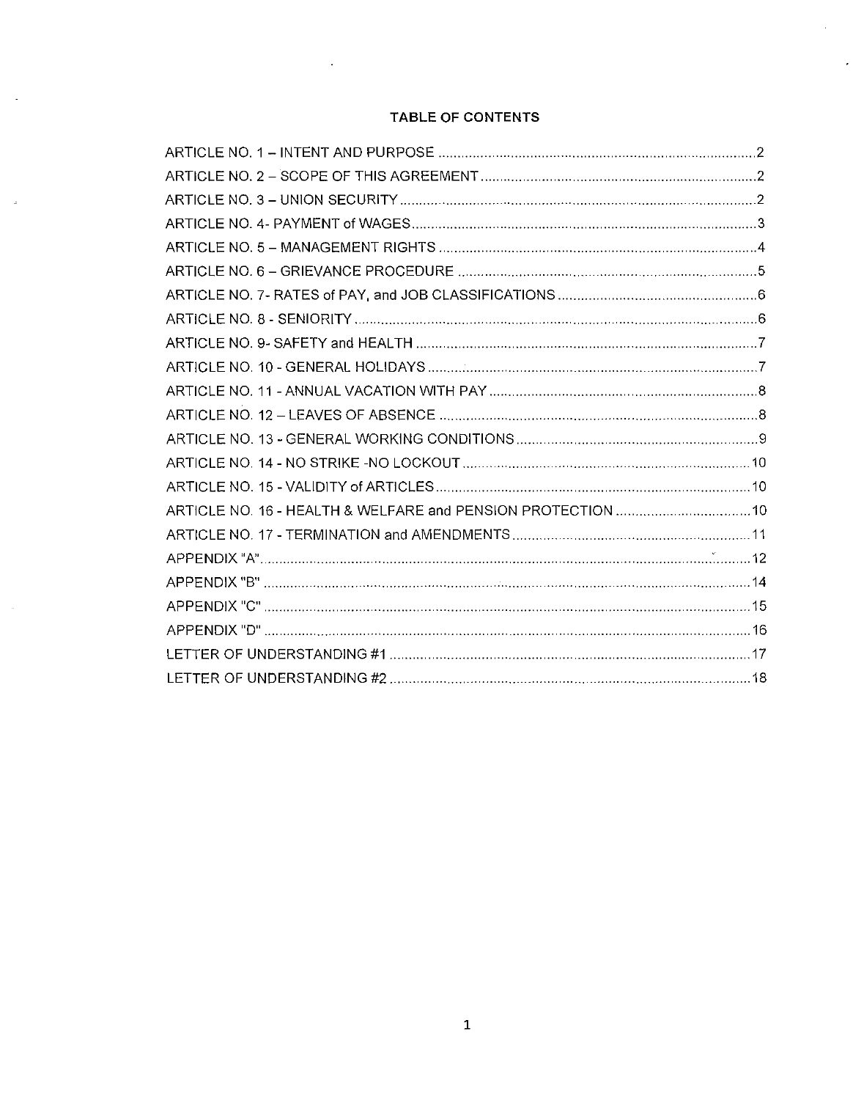# TABLE OF CONTENTS

 $\overline{a}$ 

 $\sim$ 

 $\bar{\gamma}$ 

 $\bar{a}$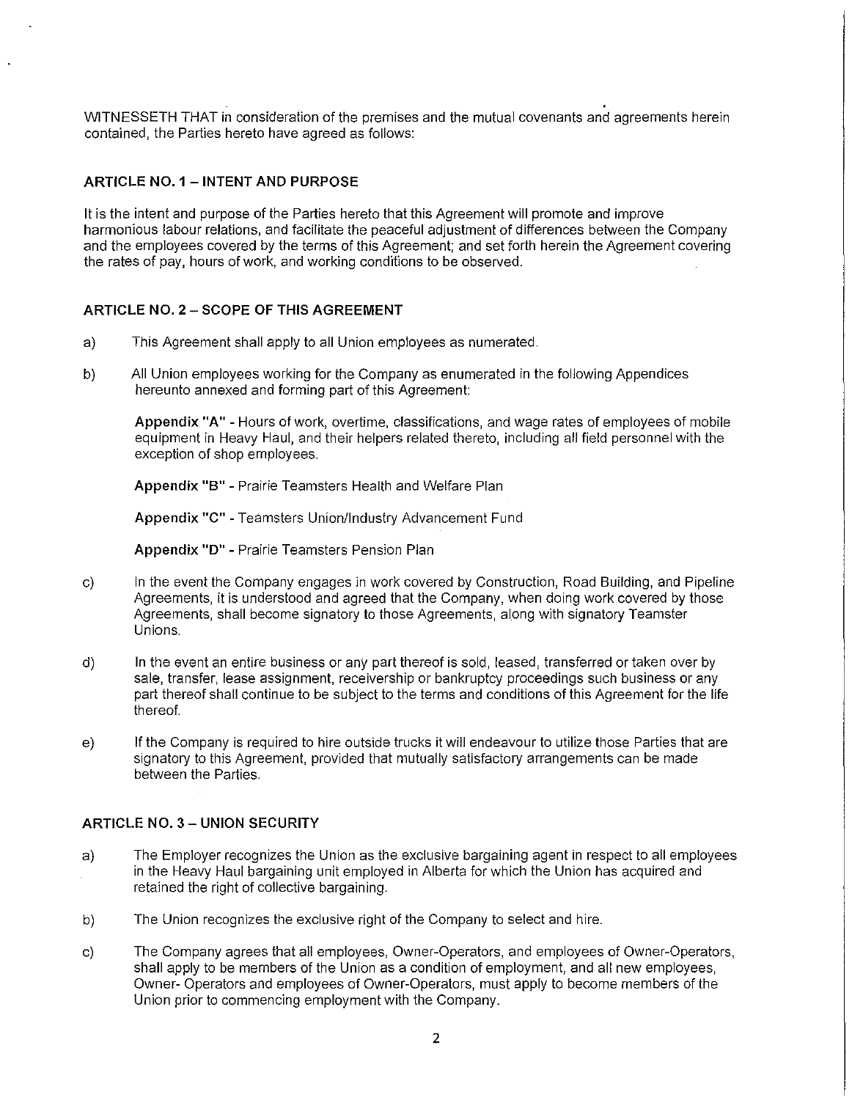WITNESSETH THAT **in** consideration of the premises and the mutual covenants and agreements herein contained, the Parties hereto have agreed as follows:

## **ARTICLE NO. 1 - INTENT AND PURPOSE**

It is the intent and purpose of the Parties hereto that this Agreement will promote and improve harmonious labour relations, and facilitate the peaceful adjustment of differences between the Company and the employees covered by the terms of this Agreement; and set forth herein the Agreement covering the rates of pay, hours of work, and working conditions to be observed.

## **ARTICLE NO. 2 - SCOPE OF THIS AGREEMENT**

- a) This Agreement shall apply to all Union employees as numerated.
- b) All Union employees working for the Company as enumerated in the following Appendices hereunto annexed and forming part of this Agreement:

**Appendix "A"** - Hours of work, overtime, classifications, and wage rates of employees of mobile equipment in Heavy Haul, and their helpers related thereto, including all field personnel with the exception of shop employees.

**Appendix "B"** - Prairie Teamsters Health and Welfare Plan

**Appendix** "C" - Teamsters Union/Industry Advancement Fund

**Appendix "D"** - Prairie Teamsters Pension Plan

- c) In the event the Company engages in work covered by Construction, Road Building, and Pipeline Agreements, it is understood and agreed that the Company, when doing work covered by those Agreements, shall become signatory to those Agreements, along with signatory Teamster Unions.
- d) In the event an entire business or any part thereof is sold, leased, transferred or taken over by sale, transfer, lease assignment, receivership or bankruptcy proceedings such business or any part thereof shall continue to be subject to the terms and conditions of this Agreement for the life thereof.
- e) If the Company is required to hire outside trucks it will endeavour to utilize those Parties that are signatory to this Agreement, provided that mutually satisfactory arrangements can be made between the Parties.

#### **ARTICLE NO. 3 - UNION SECURITY**

- a) The Employer recognizes the Union as the exclusive bargaining agent in respect to all employees in the Heavy Haul bargaining unit employed in Alberta for which the Union has acquired and retained the right of collective bargaining.
- b) The Union recognizes the exclusive right of the Company to select and hire.
- c) The Company agrees that all employees, Owner-Operators, and employees of Owner-Operators, shall apply to be members of the Union as a condition of employment, and all new employees, Owner- Operators and employees of Owner-Operators, must apply to become members of the Union prior to commencing employment with the Company.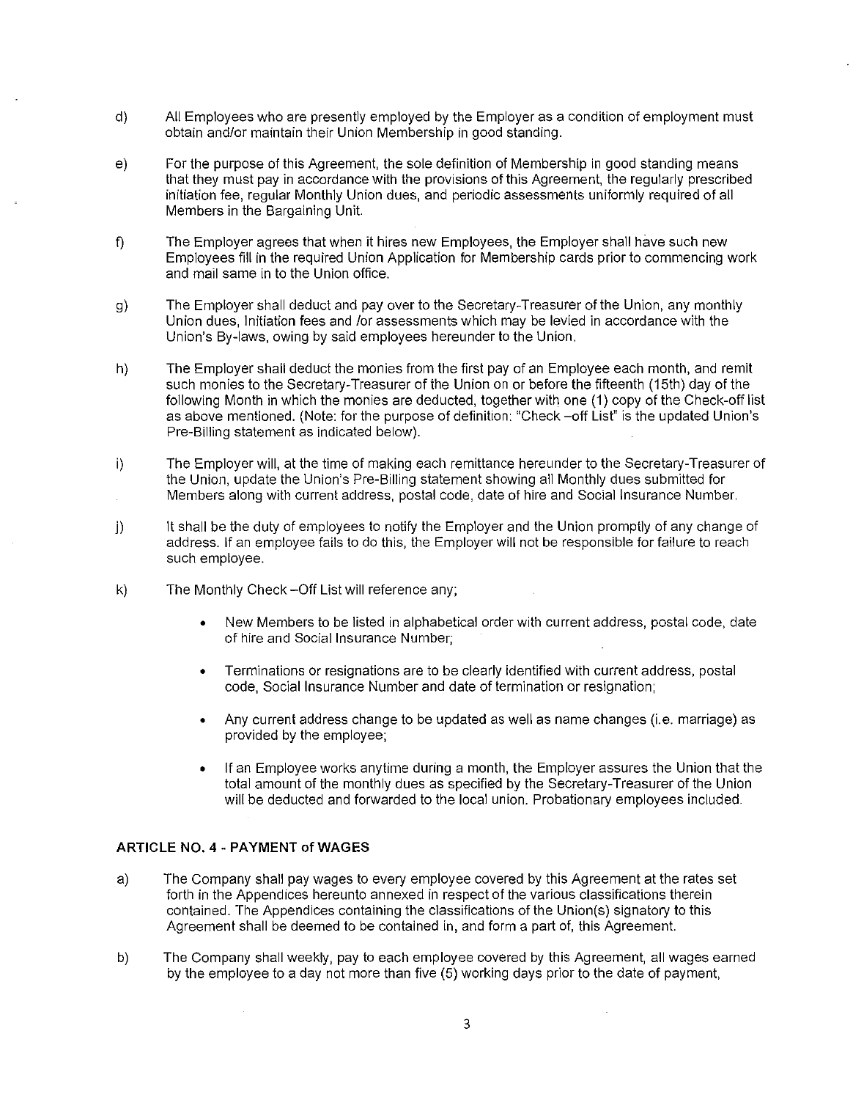- d) All Employees who are presently employed by the Employer as a condition of employment must obtain and/or maintain their Union Membership in good standing.
- e) For the purpose of this Agreement, the sole definition of Membership in good standing means that they must pay in accordance with the provisions of this Agreement, the regularly prescribed initiation fee, regular Monthly Union dues, and periodic assessments uniformly required of all Members in the Bargaining Unit.
- f) The Employer agrees that when it hires new Employees, the Employer shall have such new Employees fill in the required Union Application for Membership cards prior to commencing work and mail same in to the Union office.
- g) The Employer shall deduct and pay over to the Secretary-Treasurer of the Union, any monthly Union dues, Initiation fees and /or assessments which may be levied in accordance with the Union's By-laws, owing by said employees hereunder to the Union.
- h} The Employer shall deduct the monies from the first pay of an Employee each month, and remit such monies to the Secretary-Treasurer of the Union on or before the fifteenth (15th) day of the following Month in which the monies are deducted, together with one (1) copy of the Check-off list as above mentioned. (Note: for the purpose of definition: "Check -off List" is the updated Union's Pre-Billing statement as indicated below).
- i) The Employer will, at the time of making each remittance hereunder to the Secretary-Treasurer of the Union, update the Union's Pre-Billing statement showing all Monthly dues submitted for Members along with current address, postal code, date of hire and Social Insurance Number.
- j) It shall be the duty of employees to notify the Employer and the Union promptly of any change of address. If an employee fails to do this, the Employer will not be responsible for failure to reach such employee.
- k) The Monthly Check -Off List will reference any;
	- New Members to be listed in alphabetical order with current address, postal code, date of hire and Social Insurance Number;
	- Terminations or resignations are to be clearly identified with current address, postal code, Social Insurance Number and date of termination or resignation;
	- Any current address change to be updated as well as name changes (i.e. marriage) as provided by the employee;
	- If an Employee works anytime during a month, the Employer assures the Union that the total amount of the monthly dues as specified by the Secretary-Treasurer of the Union will be deducted and forwarded to the local union. Probationary employees included.

#### **ARTICLE** NO. **4 - PAYMENT of WAGES**

- a) The Company shall pay wages to every employee covered by this Agreement at the rates set forth in the Appendices hereunto annexed in respect of the various classifications therein contained. The Appendices containing the classifications of the Union(s) signatory to this Agreement shall be deemed to be contained in, and form a part of, this Agreement.
- b) The Company shall weekly, pay to each employee covered by this Agreement, all wages earned by the employee to a day not more than five (5) working days prior to the date of payment,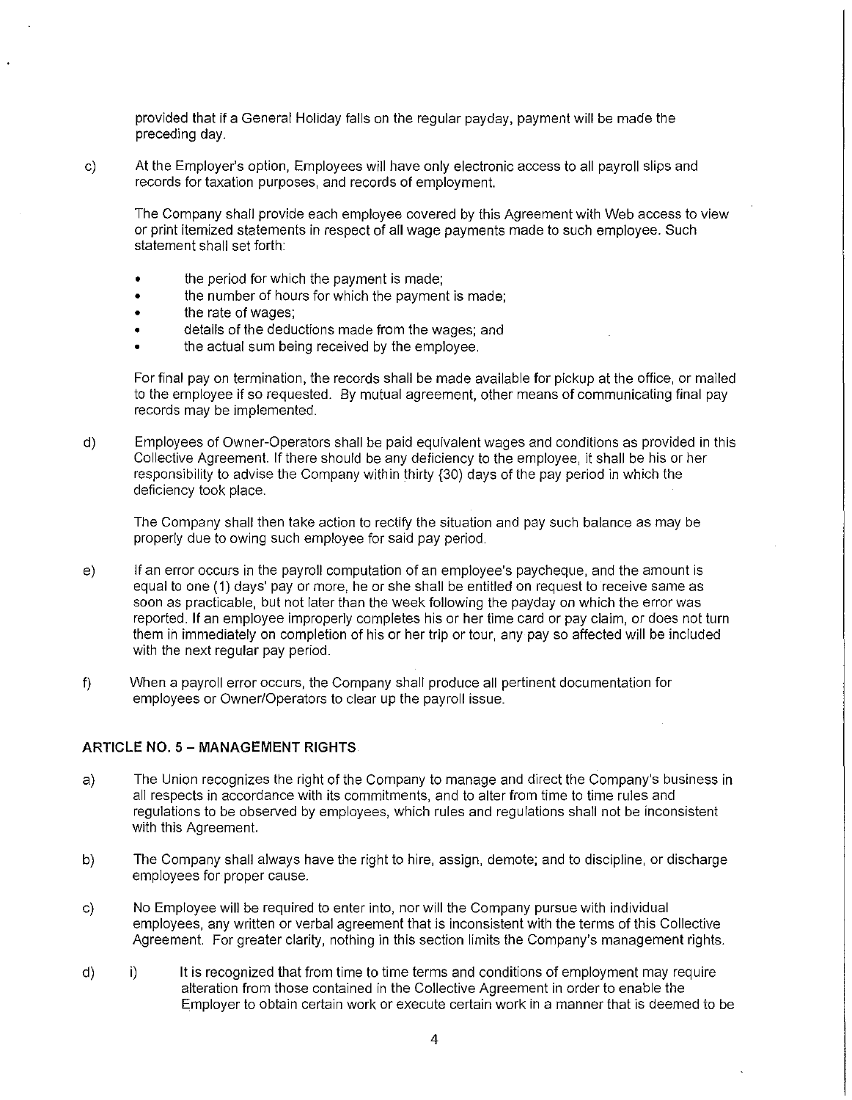provided that if a General Holiday falls on the regular payday, payment will be made the preceding day.

c) At the Employer's option, Employees will have only electronic access to all payroll slips and records for taxation purposes, and records of employment.

The Company shall provide each employee covered by this Agreement with Web access to view or print itemized statements in respect of all wage payments made to such employee. Such statement shall set forth:

- the period for which the payment is made;
- the number of hours for which the payment is made;
- the rate of wages;
- details of the deductions made from the wages; and
- the actual sum being received by the employee.

For final pay on termination, the records shall be made available for pickup at the office, or mailed to the employee if so requested. By mutual agreement, other means of communicating final pay records may be implemented.

d) Employees of Owner-Operators shall be paid equivalent wages and conditions as provided in this Collective Agreement. If there should be any deficiency to the employee, it shall be his or her responsibility to advise the Company within thirty (30) days of the pay period in which the deficiency took place.

The Company shall then take action to rectify the situation and pay such balance as may be properly due to owing such employee for said pay period.

- e) If an error occurs in the payroll computation of an employee's paycheque, and the amount is equal to one (1) days' pay or more, he or she shall be entitled on request to receive same as soon as practicable, but not later than the week following the payday on which the error was reported. If an employee improperly completes his or her time card or pay claim, or does not turn them in immediately on completion of his or her trip or tour, any pay so affected will be included with the next regular pay period.
- f) When a payroll error occurs, the Company shall produce all pertinent documentation for employees or Owner/Operators to clear up the payroll issue.

#### **ARTICLE NO. 5 - MANAGEMENT RIGHTS**

- a) The Union recognizes the right of the Company to manage and direct the Company's business in all respects in accordance with its commitments, and to alter from time to time rules and regulations to be observed by employees, which rules and regulations shall not be inconsistent with this Agreement.
- b) The Company shall always have the right to hire, assign, demote; and to discipline, or discharge employees for proper cause.
- c) No Employee will be required to enter into, nor will the Company pursue with individual employees, any written or verbal agreement that is inconsistent with the terms of this Collective Agreement. For greater clarity, nothing in this section limits the Company's management rights.
- d) i) It is recognized that from time to time terms and conditions of employment may require alteration from those contained in the Collective Agreement in order to enable the Employer to obtain certain work or execute certain work in a manner that is deemed to be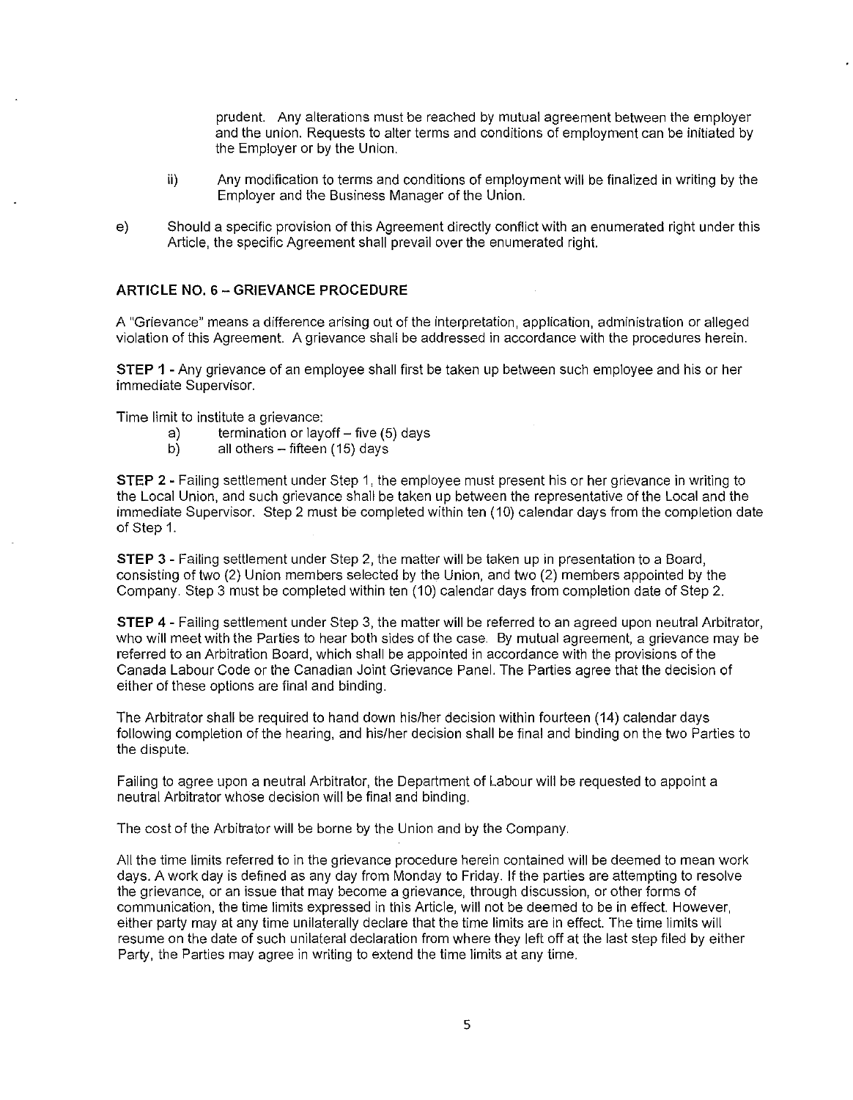prudent. Any alterations must be reached by mutual agreement between the employer and the union. Requests to alter terms and conditions of employment can be initiated by the Employer or by the Union.

- ii) Any modification to terms and conditions of employment will be finalized in writing by the Employer and the Business Manager of the Union.
- e) Should a specific provision of this Agreement directly conflict with an enumerated right under this Article, the specific Agreement shall prevail over the enumerated right.

#### **ARTICLE NO.** 6 - **GRIEVANCE PROCEDURE**

A "Grievance" means a difference arising out of the interpretation, application, administration or alleged violation of this Agreement. A grievance shall be addressed in accordance with the procedures herein.

**STEP 1** - Any grievance of an employee shall first be taken up between such employee and his or her immediate Supervisor.

Time limit to institute a grievance:

- a) termination or layoff five  $(5)$  days<br>b) all others fifteen  $(15)$  days
- all others  $-$  fifteen (15) days

**STEP** 2 - Failing settlement under Step 1, the employee must present his or her grievance in writing to the Local Union, and such grievance shall be taken up between the representative of the Local and the immediate Supervisor. Step 2 must be completed within ten (10) calendar days from the completion date of Step 1.

**STEP** 3 - Failing settlement under Step 2, the matter will be taken up in presentation to a Board, consisting of two (2) Union members selected by the Union, and two (2) members appointed by the Company. Step 3 must be completed within ten (10) calendar days from completion date of Step 2.

**STEP** 4 - Failing settlement under Step 3, the matter will be referred to an agreed upon neutral Arbitrator, who will meet with the Parties to hear both sides of the case. By mutual agreement, a grievance may be referred to an Arbitration Board, which shall be appointed in accordance with the provisions of the Canada Labour Code or the Canadian Joint Grievance Panel. The Parties agree that the decision of either of these options are final and binding.

The Arbitrator shall be required to hand down his/her decision within fourteen (14) calendar days following completion of the hearing, and his/her decision shall be final and binding on the two Parties to the dispute.

Failing to agree upon a neutral Arbitrator, the Department of Labour will be requested to appoint a neutral Arbitrator whose decision will be final and binding.

The cost of the Arbitrator will be borne by the Union and by the Company.

All the time limits referred to in the grievance procedure herein contained will be deemed to mean work days. A work day is defined as any day from Monday to Friday. If the parties are attempting to resolve the grievance, or an issue that may become a grievance, through discussion, or other forms of communication, the time limits expressed in this Article, will not be deemed to be in effect. However, either party may at any time unilaterally declare that the time limits are in effect. The time limits will resume on the date of such unilateral declaration from where they left off at the last step filed by either Party, the Parties may agree in writing to extend the time limits at any time.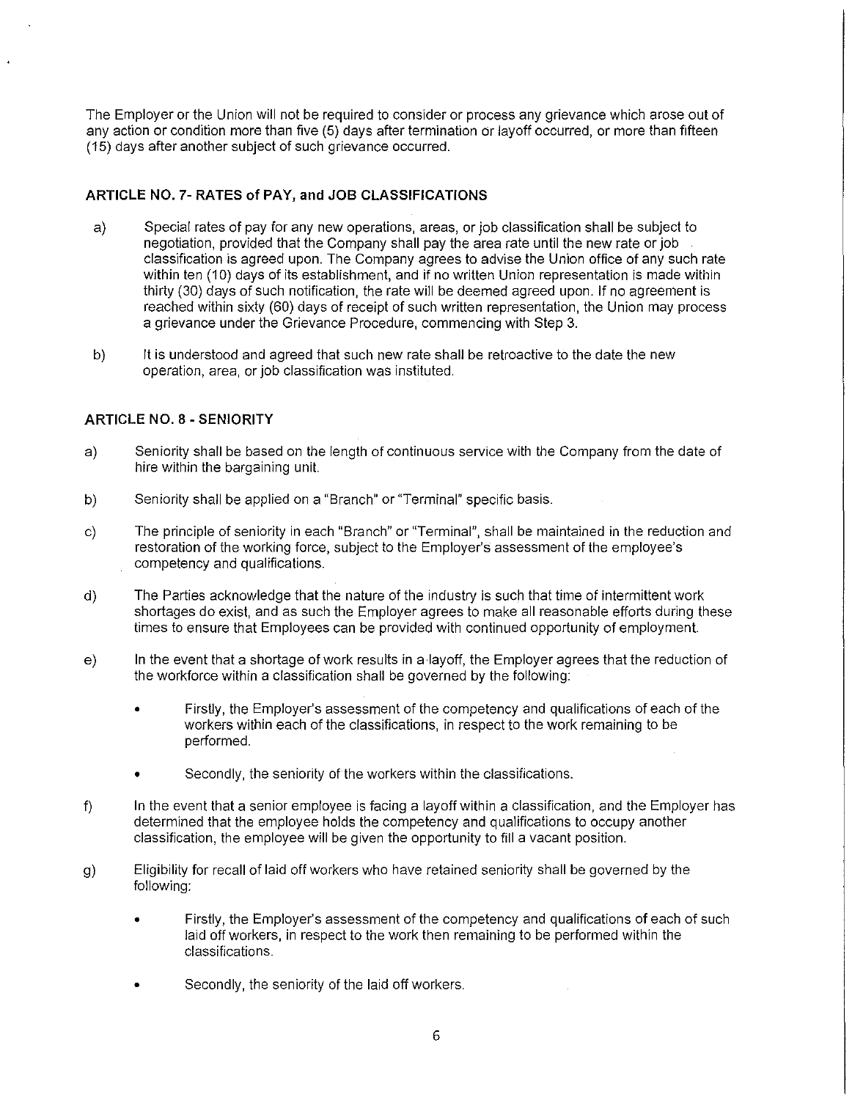The Employer or the Union will not be required to consider or process any grievance which arose out of any action or condition more than five (5) days after termination or layoff occurred, or more than fifteen (15) days after another subject of such grievance occurred.

## **ARTICLE NO. 7- RATES of PAY, and JOB CLASSIFICATIONS**

- a) Special rates of pay for any new operations, areas, or job classification shall be subject to negotiation, provided that the Company shall pay the area rate until the new rate or job classification is agreed upon. The Company agrees to advise the Union office of any such rate within ten (10) days of its establishment, and if no written Union representation is made within thirty (30) days of such notification, the rate will be deemed agreed upon. If no agreement is reached within sixty (60) days of receipt of such written representation, the Union may process a grievance under the Grievance Procedure, commencing with Step 3.
- b) It is understood and agreed that such new rate shall be retroactive to the date the new operation, area, or job classification was instituted.

## **ARTICLE NO.** 8 - **SENIORITY**

- a) Seniority shall be based on the length of continuous service with the Company from the date of hire within the bargaining unit.
- b) Seniority shall be applied on a "Branch" or "Terminal" specific basis.
- c) The principle of seniority in each "Branch" or "Terminal", shall be maintained in the reduction and restoration of the working force, subject to the Employer's assessment of the employee's competency and qualifications.
- d) The Parties acknowledge that the nature of the industry is such that time of intermittent work shortages do exist, and as such the Employer agrees to make all reasonable efforts during these times to ensure that Employees can be provided with continued opportunity of employment.
- e) In the event that a shortage of work results in a layoff, the Employer agrees that the reduction of the workforce within a classification shall be governed by the following:
	- Firstly, the Employer's assessment of the competency and qualifications of each of the workers within each of the classifications, in respect to the work remaining to be performed.
	- Secondly, the seniority of the workers within the classifications.
- f) In the event that a senior employee is facing a layoff within a classification, and the Employer has determined that the employee holds the competency and qualifications to occupy another classification, the employee will be given the opportunity to fill a vacant position.
- g) Eligibility for recall of laid off workers who have retained seniority shall be governed by the following:
	- Firstly, the Employer's assessment of the competency and qualifications of each of such laid off workers, in respect to the work then remaining to be performed within the classifications.
	- Secondly, the seniority of the laid off workers.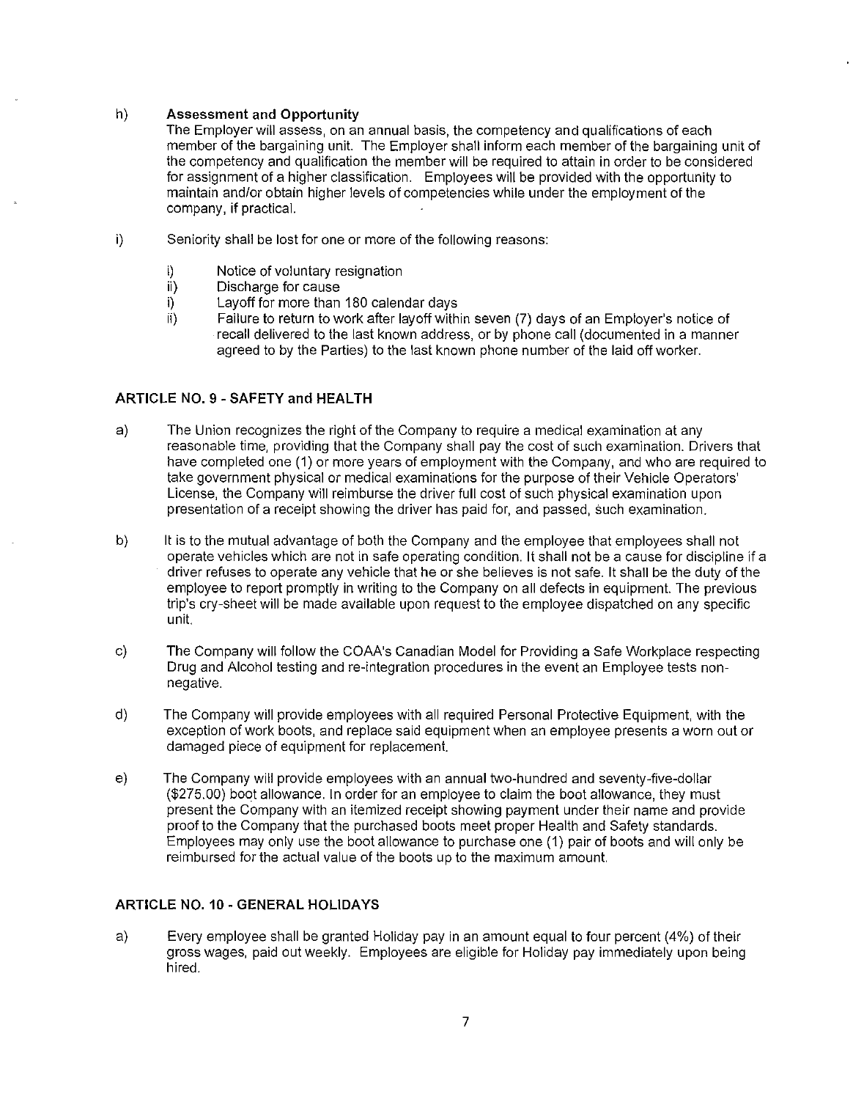#### h) Assessment and Opportunity

The Employer will assess, on an annual basis, the competency and qualifications of each member of the bargaining unit. The Employer shall inform each member of the bargaining unit of the competency and qualification the member will be required to attain in order to be considered for assignment of a higher classification. Employees will be provided with the opportunity to maintain and/or obtain higher levels of competencies while under the employment of the company, if practical.

- i) Seniority shall be lost for one or more of the following reasons:
	- i) Notice of voluntary resignation<br>ii) Discharge for cause
	- Discharge for cause
	- i) Layoff for more than 180 calendar days<br>ii) Failure to return to work after lavoff with
	- Failure to return to work after layoff within seven (7) days of an Employer's notice of recall delivered to the last known address, or by phone call (documented in a manner agreed to by the Parties) to the last known phone number of the laid off worker.

## ARTICLE NO. 9 - SAFETY and HEALTH

- a) The Union recognizes the right of the Company to require a medical examination at any reasonable time, providing that the Company shall pay the cost of such examination. Drivers that have completed one (1) or more years of employment with the Company, and who are required to take government physical or medical examinations for the purpose of their Vehicle Operators' License, the Company will reimburse the driver full cost of such physical examination upon presentation of a receipt showing the driver has paid for, and passed, such examination.
- b) It is to the mutual advantage of both the Company and the employee that employees shall not operate vehicles which are not in safe operating condition. It shall not be a cause for discipline if a driver refuses to operate any vehicle that he or she believes is not safe. It shall be the duty of the employee to report promptly in writing to the Company on all defects in equipment. The previous trip's cry-sheet will be made available upon request to the employee dispatched on any specific unit.
- c) The Company will follow the COAA's Canadian Model for Providing a Safe Workplace respecting Drug and Alcohol testing and re-integration procedures in the event an Employee tests nonnegative.
- d) The Company will provide employees with all required Personal Protective Equipment, with the exception of work boots, and replace said equipment when an employee presents a worn out or damaged piece of equipment for replacement.
- e) The Company will provide employees with an annual two-hundred and seventy-five-dollar (\$275.00) boot allowance. In order for an employee to claim the boot allowance, they must present the Company with an itemized receipt showing payment under their name and provide proof to the Company that the purchased boots meet proper Health and Safety standards. Employees may only use the boot allowance to purchase one (1) pair of boots and will only be reimbursed for the actual value of the boots up to the maximum amount.

## ARTICLE NO. 10 - GENERAL HOLIDAYS

a) Every employee shall be granted Holiday pay in an amount equal to four percent (4%) of their gross wages, paid out weekly. Employees are eligible for Holiday pay immediately upon being hired.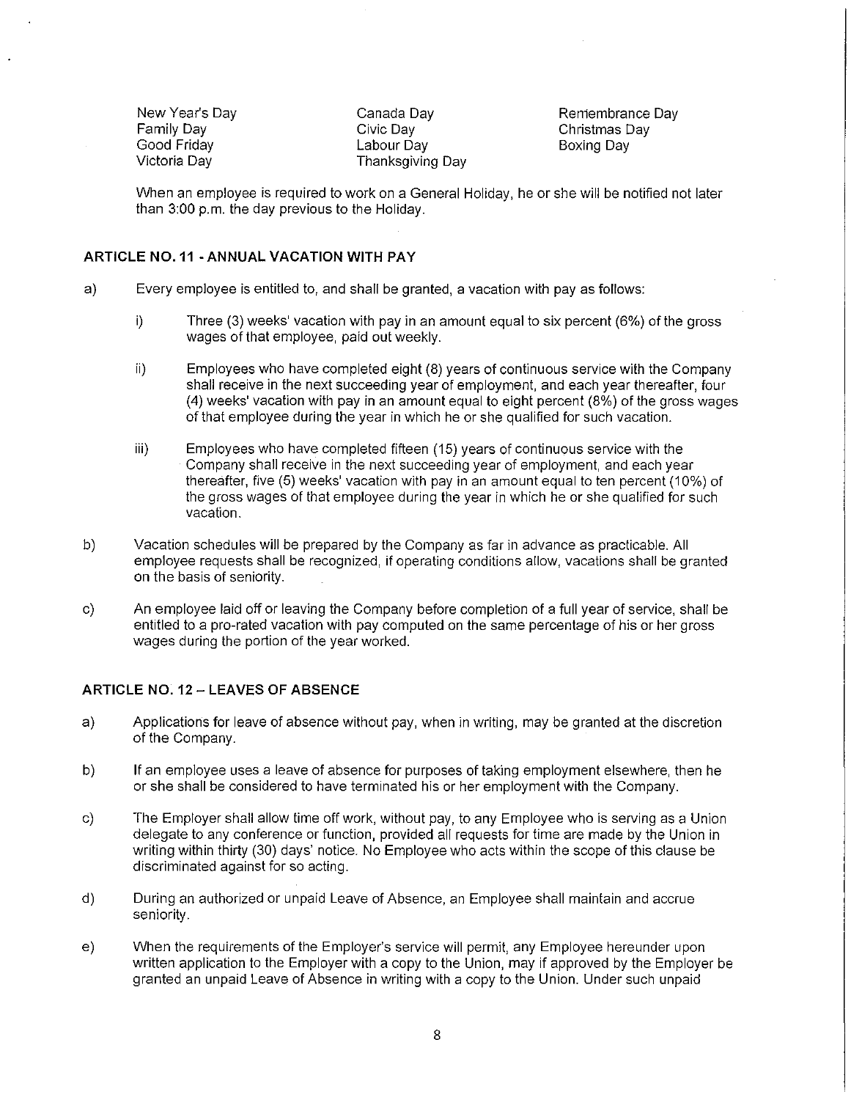New Year's Day Family Day Good Friday Victoria Day

Canada Day Civic Day Labour Day Thanksgiving Day Remembrance Day Christmas Day Boxing Day

When an employee is required to work on a General Holiday, he or she will be notified not later than 3:00 p.m. the day previous to the Holiday.

## **ARTICLE N0.11 -ANNUAL VACATION WITH PAY**

- a) Every employee is entitled to, and shall be granted, a vacation with pay as follows:
	- i) Three (3) weeks' vacation with pay in an amount equal to six percent (6%) of the gross wages of that employee, paid out weekly.
	- ii) Employees who have completed eight (8) years of continuous service with the Company shall receive in the next succeeding year of employment, and each year thereafter, four (4) weeks' vacation with pay in an amount equal to eight percent (8%) of the gross wages of that employee during the year in which he or she qualified for such vacation.
	- iii) Employees who have completed fifteen (15) years of continuous service with the Company shall receive in the next succeeding year of employment, and each year thereafter, five (5) weeks' vacation with pay in an amount equal to ten percent (10%) of the gross wages of that employee during the year in which he or she qualified for such vacation.
- b) Vacation schedules will be prepared by the Company as far in advance as practicable. All employee requests shall be recognized, if operating conditions allow, vacations shall be granted on the basis of seniority.
- c) An employee laid off or leaving the Company before completion of a full year of service, shall be entitled to a pro-rated vacation with pay computed on the same percentage of his or her gross wages during the portion of the year worked.

#### **ARTICLE NO.** 12 - **LEAVES OF ABSENCE**

- a) Applications for leave of absence without pay, when in writing, may be granted at the discretion of the Company.
- b) If an employee uses a leave of absence for purposes of taking employment elsewhere, then he or she shall be considered to have terminated his or her employment with the Company.
- c) The Employer shall allow time off work, without pay, to any Employee who is serving as a Union delegate to any conference or function, provided all requests for time are made by the Union in writing within thirty (30) days' notice. No Employee who acts within the scope of this clause be discriminated against for so acting.
- d) During an authorized or unpaid Leave of Absence, an Employee shall maintain and accrue seniority.
- e) When the requirements of the Employer's service will permit, any Employee hereunder upon written application to the Employer with a copy to the Union, may if approved by the Employer be granted an unpaid Leave of Absence in writing with a copy to the Union. Under such unpaid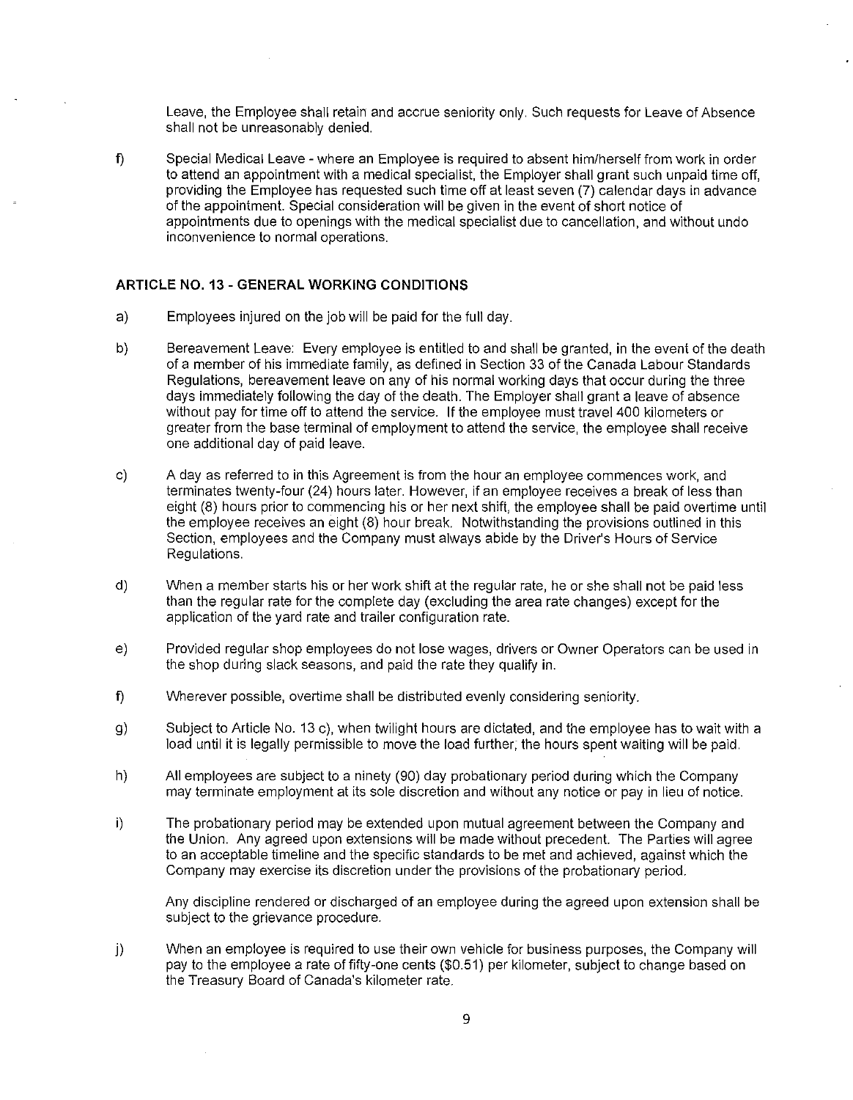Leave, the Employee shall retain and accrue seniority only. Such requests for Leave of Absence shall not be unreasonably denied.

f) Special Medical Leave - where an Employee is required to absent him/herself from work in order to attend an appointment with a medical specialist, the Employer shall grant such unpaid time off, providing the Employee has requested such time off at least seven (7) calendar days in advance of the appointment. Special consideration will be given in the event of short notice of appointments due to openings with the medical specialist due to cancellation, and without undo inconvenience to normal operations.

### **ARTICLE NO. 13 - GENERAL WORKING CONDITIONS**

- a) Employees injured on the job will be paid for the full day.
- b) Bereavement Leave: Every employee is entitled to and shall be granted, in the event of the death of a member of his immediate family, as defined in Section 33 of the Canada Labour Standards Regulations, bereavement leave on any of his normal working days that occur during the three days immediately following the day of the death. The Employer shall grant a leave of absence without pay for time off to attend the service. If the employee must travel 400 kilometers or greater from the base terminal of employment to attend the service, the employee shall receive one additional day of paid leave.
- c) A day as referred to in this Agreement is from the hour an employee commences work, and terminates twenty-four (24) hours later. However, if an employee receives a break of less than eight (8) hours prior to commencing his or her next shift, the employee shall be paid overtime until the employee receives an eight (8) hour break. Notwithstanding the provisions outlined in this Section, employees and the Company must always abide by the Driver's Hours of Service Regulations.
- d) When a member starts his or her work shift at the regular rate, he or she shall not be paid less than the regular rate for the complete day (excluding the area rate changes) except for the application of the yard rate and trailer configuration rate.
- e) Provided regular shop employees do not lose wages, drivers or Owner Operators can be used in the shop during slack seasons, and paid the rate they qualify in.
- f) Wherever possible, overtime shall be distributed evenly considering seniority.
- g) Subject to Article No. 13 c), when twilight hours are dictated, and the employee has to wait with a load until it is legally permissible to move the load further; the hours spent waiting will be paid.
- h) All employees are subject to a ninety (90) day probationary period during which the Company may terminate employment at its sole discretion and without any notice or pay in lieu of notice.
- i) The probationary period may be extended upon mutual agreement between the Company and the Union. Any agreed upon extensions will be made without precedent. The Parties will agree to an acceptable timeline and the specific standards to be met and achieved, against which the Company may exercise its discretion under the provisions of the probationary period.

Any discipline rendered or discharged of an employee during the agreed upon extension shall be subject to the grievance procedure.

j) When an employee is required to use their own vehicle for business purposes, the Company will pay to the employee a rate of fifty-one cents (\$0.51) per kilometer, subject to change based on the Treasury Board of Canada's kilometer rate.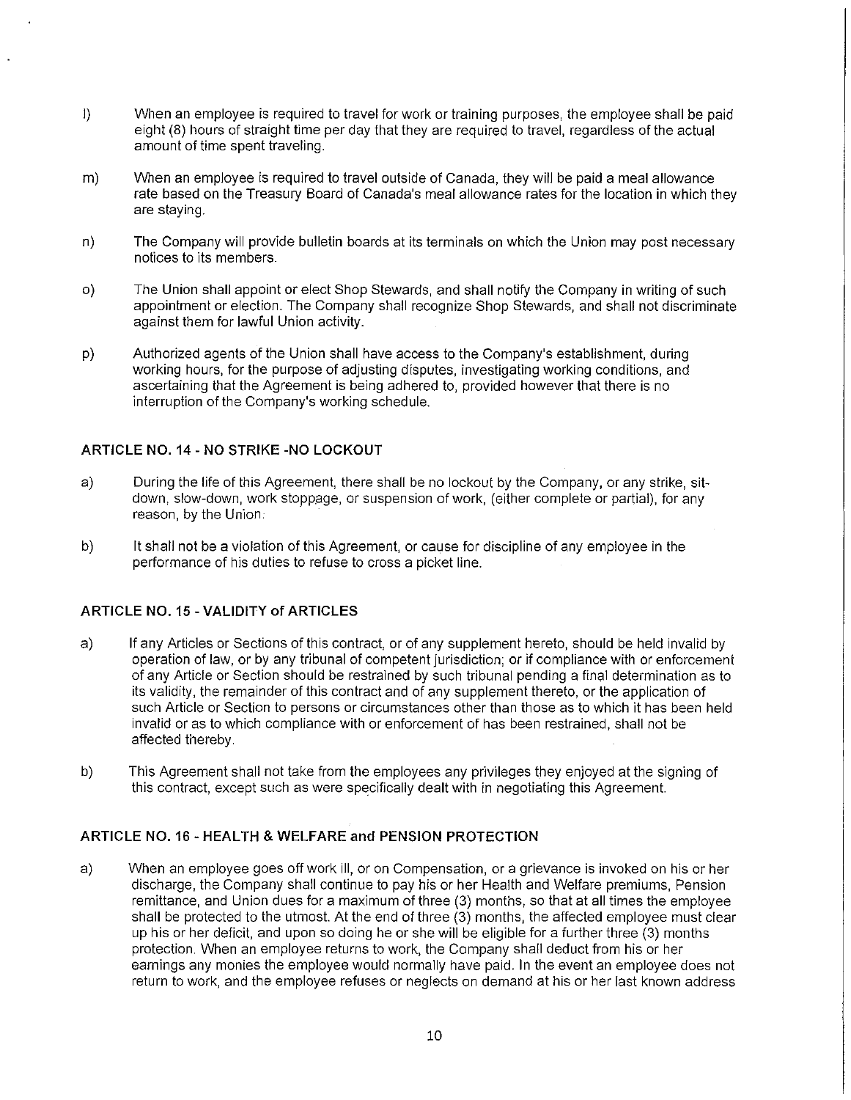- I) When an employee is required to travel for work or training purposes, the employee shall be paid eight (8) hours of straight time per day that they are required to travel, regardless of the actual amount of time spent traveling.
- m) When an employee is required to travel outside of Canada, they will be paid a meal allowance rate based on the Treasury Board of Canada's meal allowance rates for the location in which they are staying.
- n) The Company will provide bulletin boards at its terminals on which the Union may post necessary notices to its members.
- o) The Union shall appoint or elect Shop Stewards, and shall notify the Company in writing of such appointment or election. The Company shall recognize Shop Stewards, and shall not discriminate against them for lawful Union activity.
- p) Authorized agents of the Union shall have access to the Company's establishment, during working hours, for the purpose of adjusting disputes, investigating working conditions, and ascertaining that the Agreement is being adhered to, provided however that there is no interruption of the Company's working schedule.

## **ARTICLE NO. 14 - NO STRIKE -NO LOCKOUT**

- a) During the life of this Agreement, there shall be no lockout by the Company, or any strike, sitdown, slow-down, work stoppage, or suspension of work, (either complete or partial), for any reason, by the Union.
- b) It shall not be a violation of this Agreement, or cause for discipline of any employee in the performance of his duties to refuse to cross a picket line.

### **ARTICLE NO. 15 - VALIDITY of ARTICLES**

- a) If any Articles or Sections of this contract, or of any supplement hereto, should be held invalid by operation of law, or by any tribunal of competent jurisdiction; or if compliance with or enforcement of any Article or Section should be restrained by such tribunal pending a final determination as to its validity, the remainder of this contract and of any supplement thereto, or the application of such Article or Section to persons or circumstances other than those as to which it has been held invalid or as to which compliance with or enforcement of has been restrained, shall not be affected thereby.
- b) This Agreement shall not take from the employees any privileges they enjoyed at the signing of this contract, except such as were specifically dealt with in negotiating this Agreement.

### **ARTICLE NO.** 16 - **HEAL TH & WELFARE and PENSION PROTECTION**

a) When an employee goes off work ill, or on Compensation, or a grievance is invoked on his or her discharge, the Company shall continue to pay his or her Health and Welfare premiums, Pension remittance, and Union dues for a maximum of three (3) months, so that at all times the employee shall be protected to the utmost. At the end of three (3) months, the affected employee must clear up his or her deficit, and upon so doing he or she will be eligible for a further three (3) months protection. When an employee returns to work, the Company shall deduct from his or her earnings any monies the employee would normally have paid. In the event an employee does not return to work, and the employee refuses or neglects on dernand at his or her last known address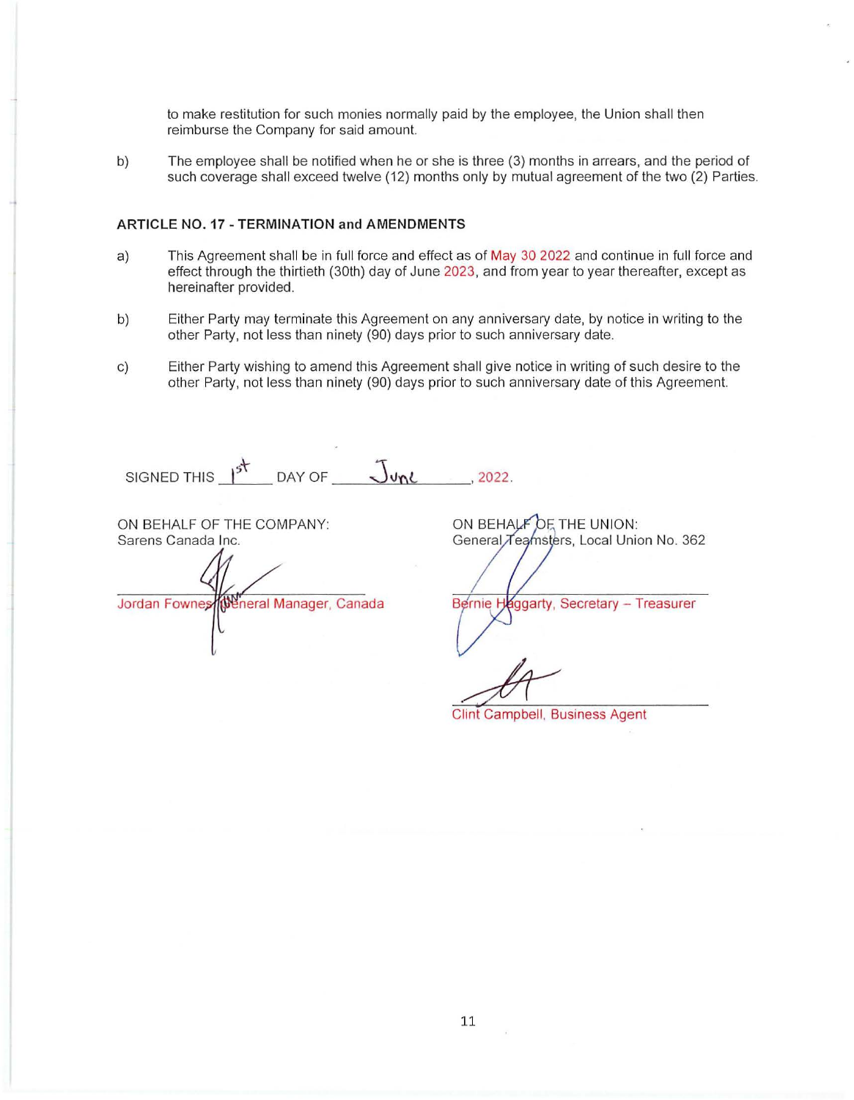to make restitution for such monies normally paid by the employee, the Union shall then reimburse the Company for said amount.

b) The employee shall be notified when he or she is three (3) months in arrears, and the period of such coverage shall exceed twelve (12) months only by mutual agreement of the two (2) Parties.

#### **ARTICLE NO. 17 - TERMINATION and AMENDMENTS**

- a) This Agreement shall be in full force and effect as of May 30 2022 and continue in full force and effect through the thirtieth (30th) day of June 2023, and from year to year thereafter, except as hereinafter provided.
- b) Either Party may terminate this Agreement on any anniversary date, by notice in writing to the other Party, not less than ninety (90) days prior to such anniversary date.
- c) Either Party wishing to amend this Agreement shall give notice in writing of such desire to the other Party, not less than ninety (90) days prior to such anniversary date of this Agreement.

SIGNED THIS  $\frac{1^5}{2^5}$  $DAY OF$   $\overline{J}$ une  $\overline{J}$  2022.

ON BEHALF OF THE COMPANY: Sarens Canada Inc.

Weneral Manager, Canada Jordan Fownes

ON BEHALF OF THE UNION: General Teamsters, Local Union No. 362

Bernie H **Aggarty, Secretary - Treasurer** 

Clint Campbell, Business Agent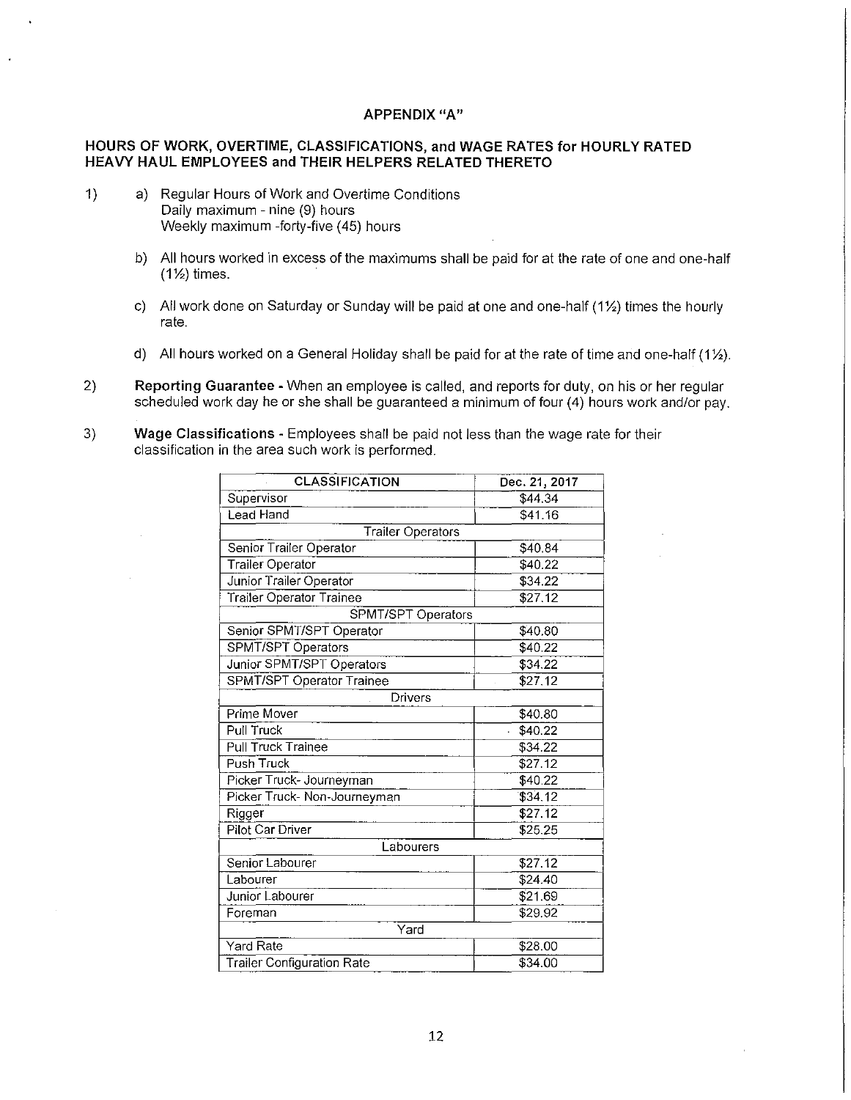#### APPENDIX "A"

### HOURS OF WORK, OVERTIME, CLASSIFICATIONS, and WAGE RATES for HOURLY RATED HEAVY HAUL EMPLOYEES and THEIR HELPERS RELATED THERETO

- 1) a) Regular Hours of Work and Overtime Conditions Daily maximum - nine (9) hours Weekly maximum -forty-five (45) hours
	- b) All hours worked in excess of the maximums shall be paid for at the rate of one and one-half  $(1\frac{1}{2})$  times.
	- c) All work done on Saturday or Sunday will be paid at one and one-half (11/2) times the hourly rate.
	- d) All hours worked on a General Holiday shall be paid for at the rate of time and one-half (1 $\frac{1}{2}$ ).
- 2) Reporting Guarantee When an employee is called, and reports for duty, on his or her regular scheduled work day he or she shall be guaranteed a minimum of four (4) hours work and/or pay.
- 3) Wage Classifications Employees shall be paid not less than the wage rate for their classification in the area such work is performed.

| Dec. 21, 2017      |
|--------------------|
| \$44.34            |
|                    |
| \$41.16            |
|                    |
| \$40.84            |
| \$40.22            |
| \$34.22            |
| \$27.12            |
| SPMT/SPT Operators |
| \$40.80            |
| \$40.22            |
| \$34.22            |
| \$27.12            |
|                    |
| \$40.80            |
| \$40.22            |
| \$34.22            |
| \$27.12            |
| \$40.22            |
| 334.12             |
| \$27.12            |
| \$25.25            |
|                    |
| \$27.12            |
| \$24.40            |
| \$21.69            |
| \$29.92            |
|                    |
| \$28.00            |
| \$34.00            |
|                    |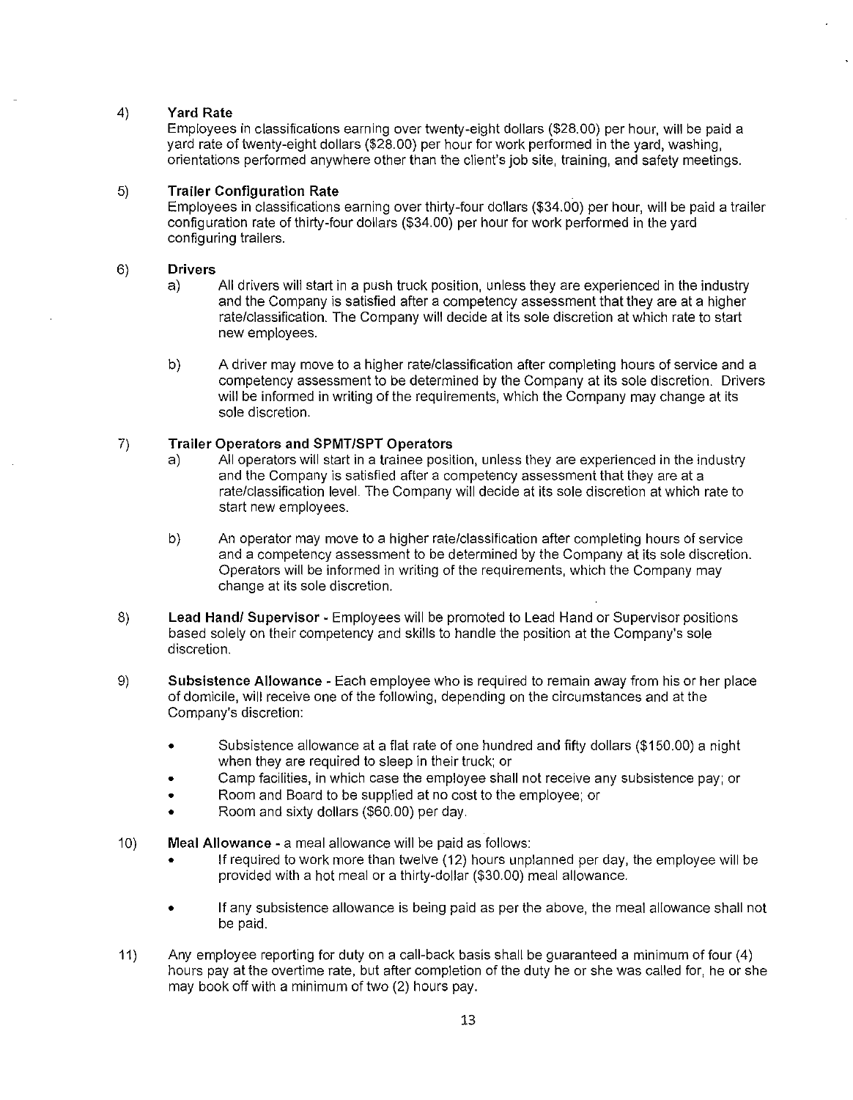### 4) Yard Rate

Employees in classifications earning over twenty-eight dollars (\$28.00) per hour, will be paid a yard rate of twenty-eight dollars (\$28.00) per hour for work performed in the yard, washing, orientations performed anywhere other than the client's job site, training, and safety meetings.

### 5) Trailer Configuration Rate

Employees in classifications earning over thirty-four dollars (\$34.00) per hour, will be paid a trailer configuration rate of thirty-four dollars (\$34.00) per hour for work performed in the yard configuring trailers.

### 6) Drivers

- a) All drivers will start in a push truck position, unless they are experienced in the industry and the Company is satisfied after a competency assessment that they are at a higher rate/classification. The Company will decide at its sole discretion at which rate to start new employees.
- b) A driver may move to a higher rate/classification after completing hours of service and a competency assessment to be determined by the Company at its sole discretion. Drivers will be informed in writing of the requirements, which the Company may change at its sole discretion.

## 7) Trailer Operators and SPMT/SPT Operators

- a) All operators will start in a trainee position, unless they are experienced in the industry and the Company is satisfied after a competency assessment that they are at a rate/classification level. The Company will decide at its sole discretion at which rate to start new employees.
- b) An operator may move to a higher rate/classification after completing hours of service and a competency assessment to be determined by the Company at its sole discretion. Operators will be informed in writing of the requirements, which the Company may change at its sole discretion.
- 8) Lead Hand/ Supervisor Employees will be promoted to Lead Hand or Supervisor positions based solely on their competency and skills to handle the position at the Company's sole discretion.
- 9) Subsistence Allowance Each employee who is required to remain away from his or her place of domicile, will receive one of the following, depending on the circumstances and at the Company's discretion:
	- Subsistence allowance at a flat rate of one hundred and fifty dollars (\$150.00) a night when they are required to sleep in their truck; or
	- Camp facilities, in which case the employee shall not receive any subsistence pay; or
	- Room and Board to be supplied at no cost to the employee; or
	- Room and sixty dollars (\$60.00) per day.
- 10) Meal Allowance a meal allowance will be paid as follows:
	- If required to work more than twelve (12) hours unplanned per day, the employee will be provided with a hot meal or a thirty-dollar (\$30.00) meal allowance.
	- If any subsistence allowance is being paid as per the above, the meal allowance shall not be paid.
- 11) Any employee reporting for duty on a call-back basis shall be guaranteed a minimum of four (4) hours pay at the overtime rate, but after completion of the duty he or she was called for, he or she may book off with a minimum of two (2) hours pay.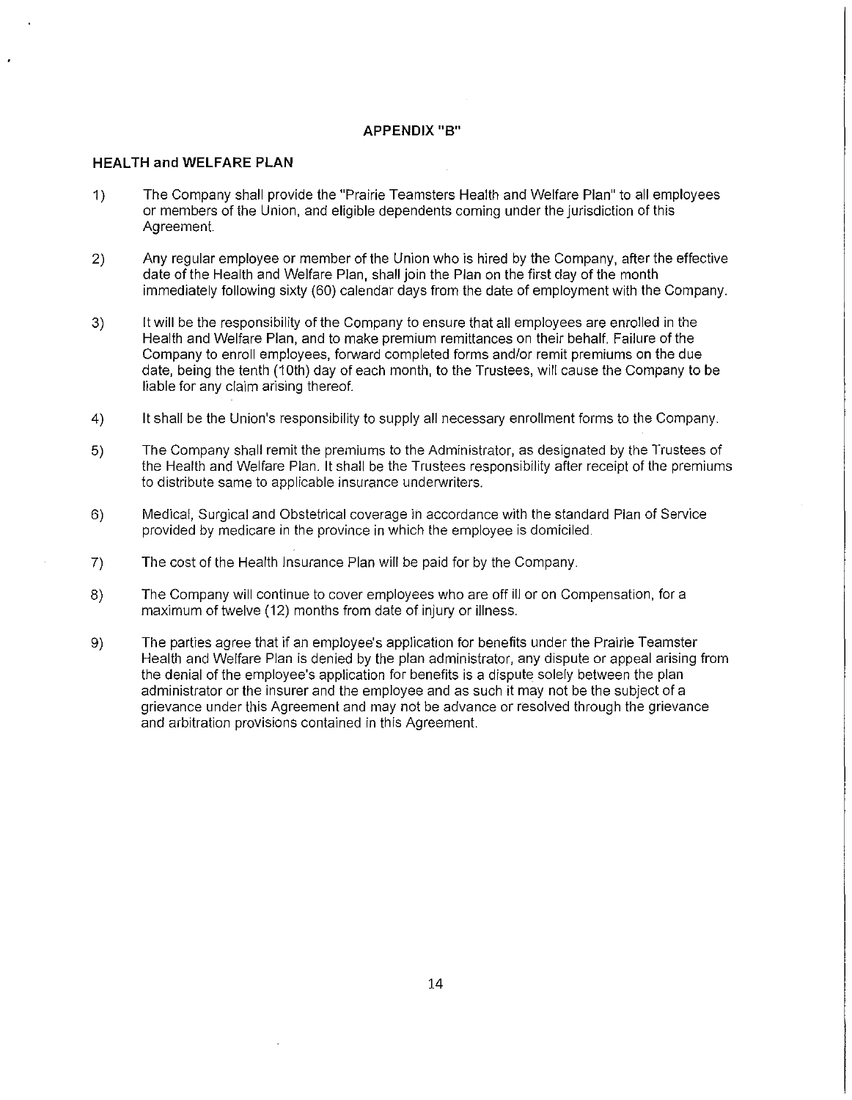### **APPENDIX "B"**

#### **HEAL TH and WELFARE PLAN**

- 1) The Company shall provide the "Prairie Teamsters Health and Welfare Plan" to all employees or members of the Union, and eligible dependents coming under the jurisdiction of this Agreement.
- 2) Any regular employee or member of the Union who is hired by the Company, after the effective date of the Health and Welfare Plan, shall join the Plan on the first day of the month immediately following sixty (60) calendar days from the date of employment with the Company.
- 3) It will be the responsibility of the Company to ensure that all employees are enrolled in the Health and Welfare Plan, and to make premium remittances on their behalf. Failure of the Company to enroll employees, forward completed forms and/or remit premiums on the due date, being the tenth (10th) day of each month, to the Trustees, will cause the Company to be liable for any claim arising thereof.
- 4) It shall be the Union's responsibility to supply all necessary enrollment forms to the Company.
- 5) The Company shall remit the premiums to the Administrator, as designated by the Trustees of the Health and Welfare Plan. It shall be the Trustees responsibility after receipt of the premiums to distribute same to applicable insurance underwriters.
- 6) Medical, Surgical and Obstetrical coverage in accordance with the standard Plan of Service provided by medicare in the province in which the employee is domiciled.
- 7) The cost of the Health Insurance Plan will be paid for by the Company.
- 8) The Company will continue to cover employees who are off ill or on Compensation, for a maximum of twelve (12) months from date of injury or illness.
- 9) The parties agree that if an employee's application for benefits under the Prairie Teamster Health and Welfare Plan is denied by the plan administrator, any dispute or appeal arising from the denial of the employee's application for benefits is a dispute solely between the plan administrator or the insurer and the employee and as such it may not be the subject of a grievance under this Agreement and may not be advance or resolved through the grievance and arbitration provisions contained in this Agreement.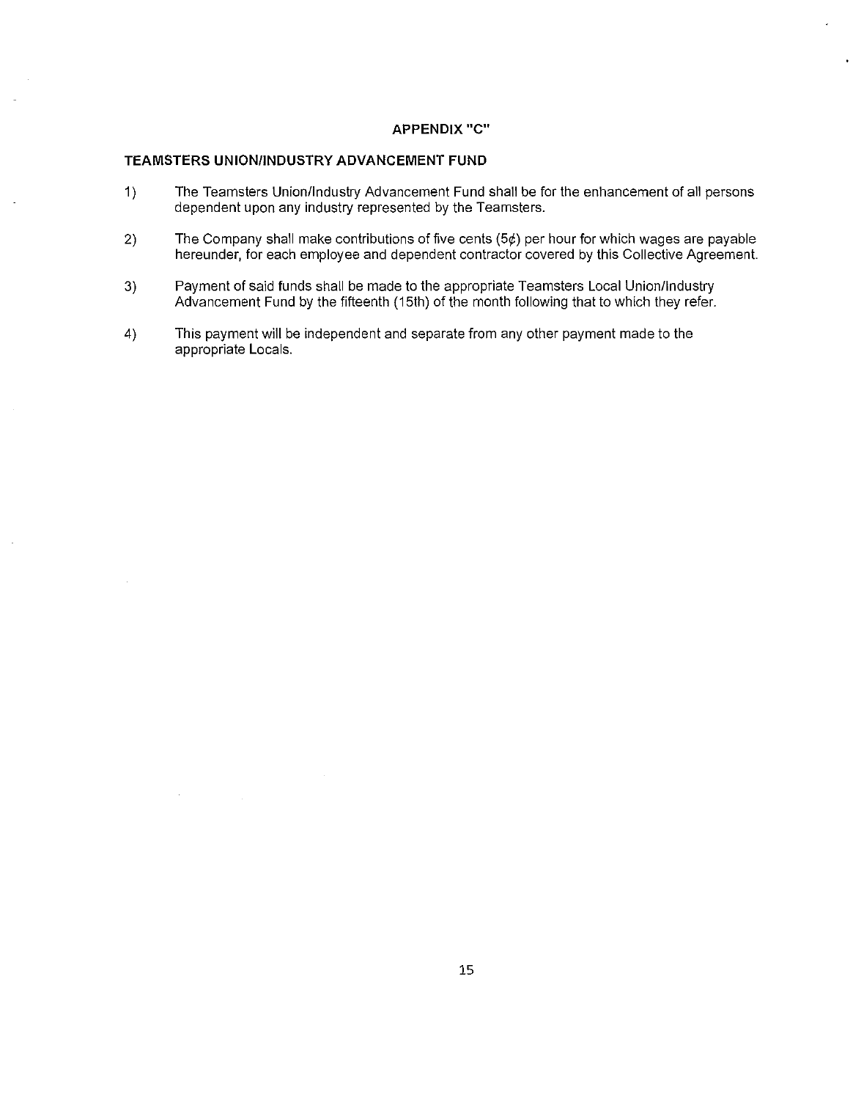#### **APPENDIX** "C"

#### **TEAMSTERS UNION/INDUSTRY ADVANCEMENT FUND**

- 1) The Teamsters Union/Industry Advancement Fund shall be for the enhancement of all persons dependent upon any industry represented by the Teamsters.
- 2) The Company shall make contributions of five cents  $(5¢)$  per hour for which wages are payable hereunder, for each employee and dependent contractor covered by this Collective Agreement.
- 3) Payment of said funds shall be made to the appropriate Teamsters Local Union/Industry Advancement Fund by the fifteenth (15th) of the month following that to which they refer.
- 4) This payment will be independent and separate from any other payment made to the appropriate Locals.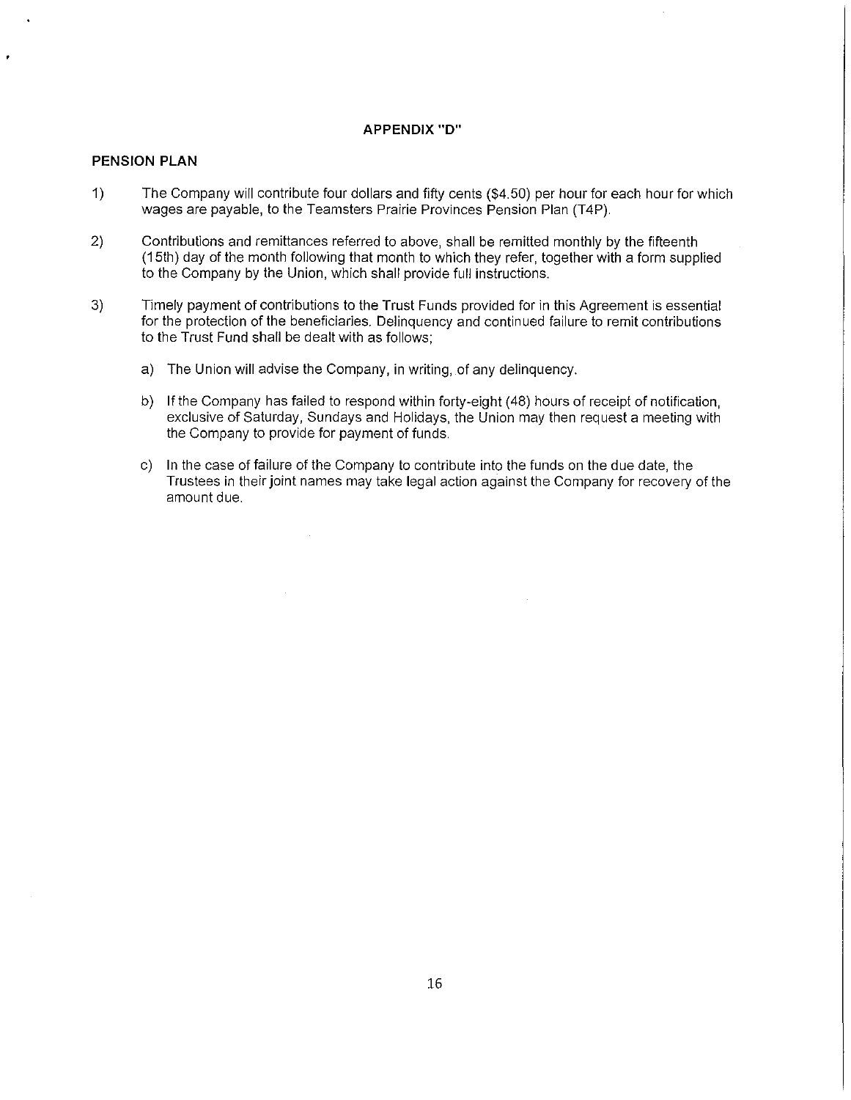#### **APPENDIX "D"**

### **PENSION PLAN**

- 1) The Company will contribute four dollars and fifty cents (\$4.50) per hour for each hour for which wages are payable, to the Teamsters Prairie Provinces Pension Plan (T4P).
- 2) Contributions and remittances referred to above, shall be remitted monthly by the fifteenth (15th) day of the month following that month to which they refer, together with a form supplied to the Company by the Union, which shall provide full instructions.
- 3) Timely payment of contributions to the Trust Funds provided for in this Agreement is essential for the protection of the beneficiaries. Delinquency and continued failure to remit contributions to the Trust Fund shall be dealt with as follows;
	- a) The Union will advise the Company, in writing, of any delinquency.
	- b) If the Company has failed to respond within forty-eight (48) hours of receipt of notification, exclusive of Saturday, Sundays and Holidays, the Union may then request a meeting with the Company to provide for payment of funds.
	- c) In the case of failure of the Company to contribute into the funds on the due date, the Trustees in their joint names may take legal action against the Company for recovery of the amount due.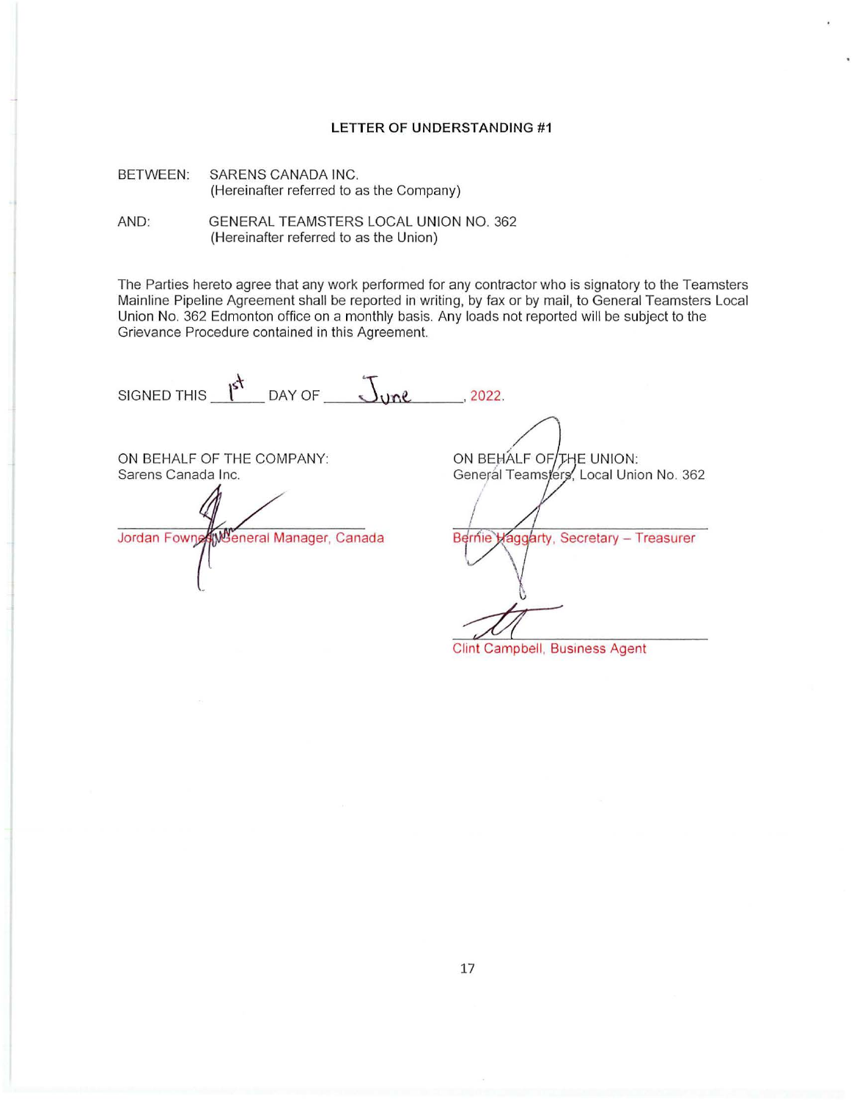#### LETTER OF UNDERSTANDING #1

BETWEEN: SARENS CANADA INC. (Hereinafter referred to as the Company)

AND: GENERAL TEAMSTERS LOCAL UNION NO. 362 (Hereinafter referred to as the Union)

The Parties hereto agree that any work performed for any contractor who is signatory to the Teamsters Mainline Pipeline Agreement shall be reported in writing, by fax or by mail, to General Teamsters Local Union No. 362 Edmonton office on a monthly basis. Any loads not reported will be subject to the Grievance Procedure contained in this Agreement.

 $\mathfrak l$ SIGNED THIS  $\frac{1}{s^+}$  DAY OF  $\frac{1}{s}$  or  $\frac{1}{s}$ , 2022.

ON BEHALF OF THE COMPANY: Sarens Canada Inc.

Jordan Fowner Weneral Manager, Canada

ON BEHALF OF THE UNION: General Teamsters, Local Union No. 362

Bernie Haggarty, Secretary - Treasurer

Clint Campbell, Business Agent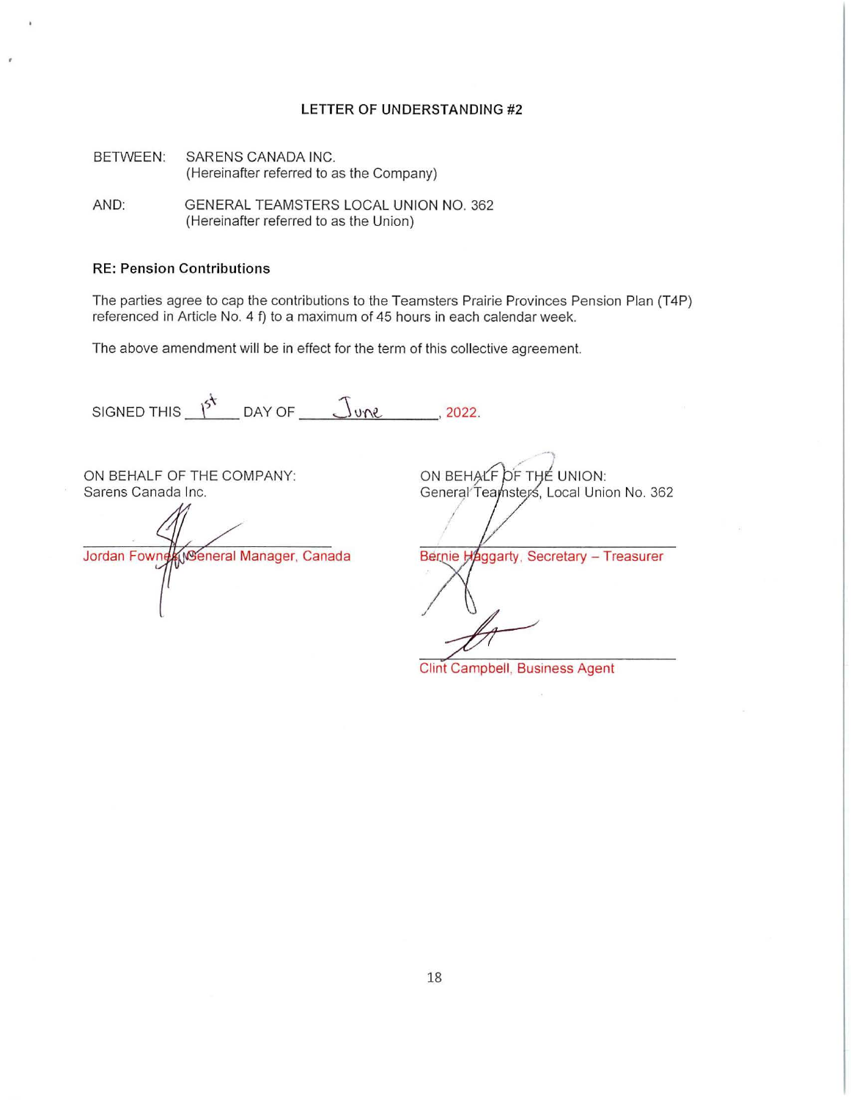#### LETTER OF UNDERSTANDING #2

BETWEEN: SARENS CANADA INC. (Hereinafter referred to as the Company)

AND: GENERAL TEAMSTERS LOCAL UNION NO. 362 (Hereinafter referred to as the Union)

### RE: Pension Contributions

The parties agree to cap the contributions to the Teamsters Prairie Provinces Pension Plan (T4P) referenced in Article No. 4 f) to a maximum of 45 hours in each calendar week.

The above amendment will be in effect for the term of this collective agreement.

SIGNED THIS  $\frac{1}{2^k}$  DAY OF  $\frac{1}{2^k}$   $\frac{1}{2^k}$  2022.

ON BEHALF OF THE COMPANY: Sarens Canada Inc.

Jordan Fowner Weneral Manager, Canada

ON BEHALF OF THE UNION: General Teamsters, Local Union No. 362

-)

Bernie Haggarty. Secretary - Treasurer

Clint Campbell, Business Agent